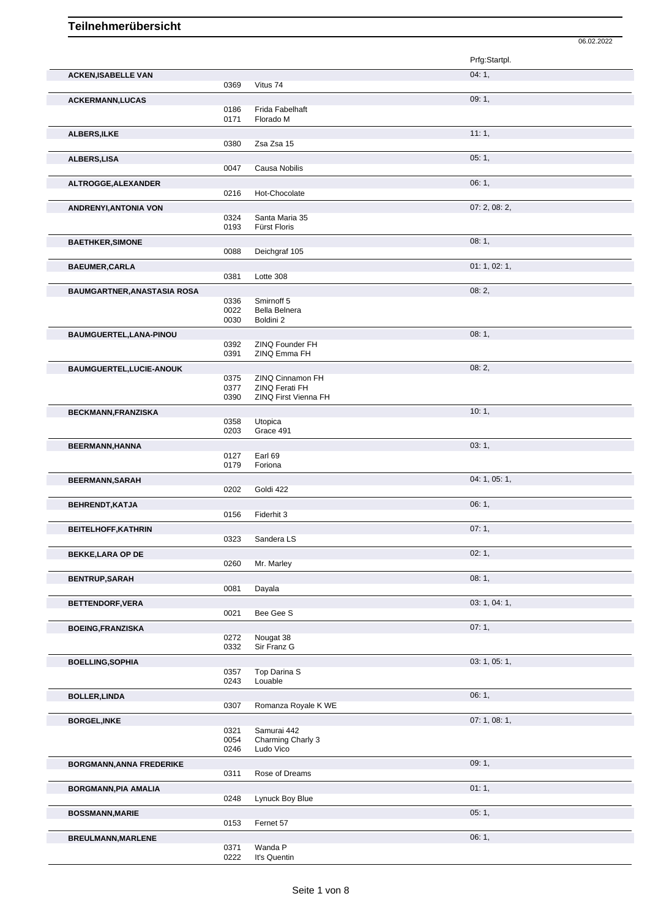|                             |              |                                        | Prfg:Startpl. |
|-----------------------------|--------------|----------------------------------------|---------------|
| <b>ACKEN, ISABELLE VAN</b>  |              |                                        | 04:1,         |
|                             | 0369         | Vitus 74                               |               |
| <b>ACKERMANN,LUCAS</b>      |              |                                        | 09:1,         |
|                             | 0186         | Frida Fabelhaft                        |               |
|                             | 0171         | Florado M                              |               |
| ALBERS, ILKE                |              |                                        | 11:1,         |
|                             | 0380         | Zsa Zsa 15                             |               |
|                             |              |                                        | 05:1,         |
| ALBERS, LISA                | 0047         | Causa Nobilis                          |               |
|                             |              |                                        |               |
| ALTROGGE, ALEXANDER         |              |                                        | 06:1,         |
|                             | 0216         | Hot-Chocolate                          |               |
| ANDRENYI, ANTONIA VON       |              |                                        | 07: 2, 08: 2, |
|                             | 0324         | Santa Maria 35                         |               |
|                             | 0193         | Fürst Floris                           |               |
| <b>BAETHKER, SIMONE</b>     |              |                                        | 08:1,         |
|                             | 0088         | Deichgraf 105                          |               |
| <b>BAEUMER, CARLA</b>       |              |                                        | 01: 1, 02: 1, |
|                             | 0381         | Lotte 308                              |               |
|                             |              |                                        |               |
| BAUMGARTNER, ANASTASIA ROSA |              |                                        | 08:2,         |
|                             | 0336<br>0022 | Smirnoff 5<br>Bella Belnera            |               |
|                             | 0030         | Boldini 2                              |               |
|                             |              |                                        |               |
| BAUMGUERTEL, LANA-PINOU     |              |                                        | 08:1,         |
|                             | 0392<br>0391 | ZINQ Founder FH<br>ZINQ Emma FH        |               |
|                             |              |                                        |               |
| BAUMGUERTEL, LUCIE-ANOUK    |              |                                        | 08:2,         |
|                             | 0375         | ZINQ Cinnamon FH                       |               |
|                             | 0377<br>0390 | ZINQ Ferati FH<br>ZINQ First Vienna FH |               |
|                             |              |                                        |               |
| BECKMANN, FRANZISKA         |              |                                        | 10:1,         |
|                             | 0358         | Utopica<br>Grace 491                   |               |
|                             | 0203         |                                        |               |
| BEERMANN, HANNA             |              |                                        | 03:1,         |
|                             | 0127         | Earl 69                                |               |
|                             | 0179         | Foriona                                |               |
| <b>BEERMANN, SARAH</b>      |              |                                        | 04: 1, 05: 1, |
|                             | 0202         | Goldi 422                              |               |
| BEHRENDT, KATJA             |              |                                        | 06:1,         |
|                             | 0156         | Fiderhit 3                             |               |
|                             |              |                                        |               |
| <b>BEITELHOFF, KATHRIN</b>  | 0323         | Sandera LS                             | 07: 1,        |
|                             |              |                                        |               |
| <b>BEKKE, LARA OP DE</b>    |              |                                        | 02:1,         |
|                             | 0260         | Mr. Marley                             |               |
| <b>BENTRUP, SARAH</b>       |              |                                        | 08: 1,        |
|                             | 0081         | Dayala                                 |               |
|                             |              |                                        | 03: 1, 04: 1, |
| BETTENDORF, VERA            | 0021         | Bee Gee S                              |               |
|                             |              |                                        |               |
| <b>BOEING, FRANZISKA</b>    |              |                                        | 07:1,         |
|                             | 0272         | Nougat 38                              |               |
|                             | 0332         | Sir Franz G                            |               |

|                                 | ∪ാാ∠ | <b>SILFICILE</b>    |               |
|---------------------------------|------|---------------------|---------------|
| <b>BOELLING, SOPHIA</b>         |      |                     | 03: 1, 05: 1, |
|                                 | 0357 | Top Darina S        |               |
|                                 | 0243 | Louable             |               |
| <b>BOLLER, LINDA</b>            |      |                     | 06:1,         |
|                                 | 0307 | Romanza Royale K WE |               |
| <b>BORGEL, INKE</b>             |      |                     | 07:1,08:1,    |
|                                 | 0321 | Samurai 442         |               |
|                                 | 0054 | Charming Charly 3   |               |
|                                 | 0246 | Ludo Vico           |               |
| <b>BORGMANN, ANNA FREDERIKE</b> |      |                     | 09:1,         |
|                                 | 0311 | Rose of Dreams      |               |
| <b>BORGMANN, PIA AMALIA</b>     |      |                     | 01:1,         |
|                                 | 0248 | Lynuck Boy Blue     |               |
| <b>BOSSMANN, MARIE</b>          |      |                     | 05:1,         |
|                                 | 0153 | Fernet 57           |               |
| <b>BREULMANN, MARLENE</b>       |      |                     | 06:1,         |
|                                 | 0371 | Wanda P             |               |
|                                 | 0222 | It's Quentin        |               |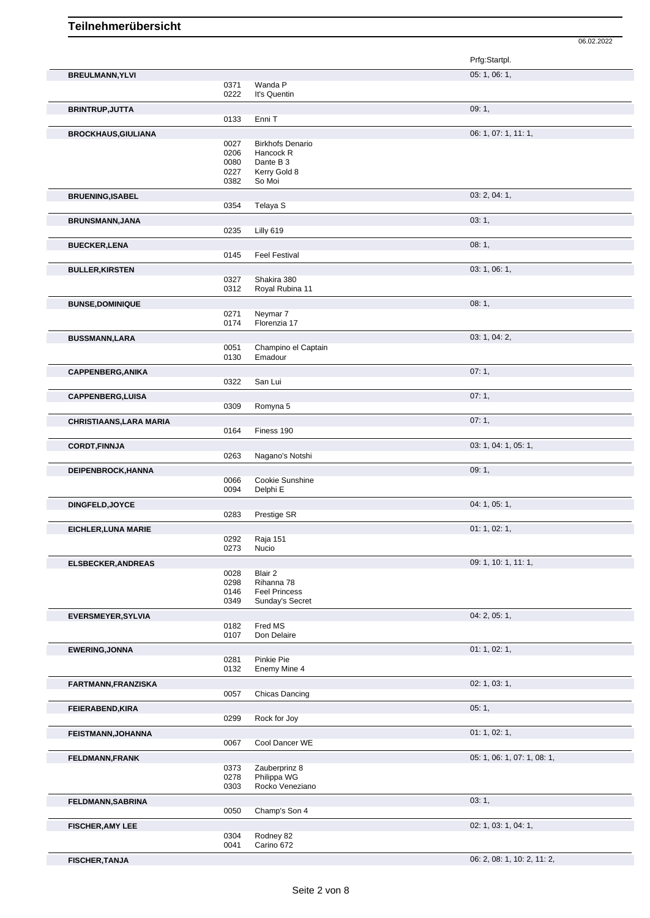Prfg:Startpl. **BREULMANN, YLVI** 05: 1, 06: 1, 0371 Wanda P<br>0222 It's Quent It's Quentin **BRINTRUP, JUTTA** 09: 1, 0133 Enni T **BROCKHAUS,GIULIANA** 0027 Birkhofs Denario **BROCKHAUS,GIULIANA** 06: 1, 11: 1, 0027 Birkhofs Denario<br>0206 Hancock R 0206 Hancock R<br>0080 Dante B 3 0080 Dante B 3<br>0227 Kerry Gold 0227 Kerry Gold 8<br>0382 So Moi So Moi **BRUENING,ISABEL** 03: 2, 04: 1, 0354 Telaya S Telaya S **BRUNSMANN,JANA** 03: 1, Lilly 619 **BUECKER, LENA** 08: 1, 08: 1, 08: 1, 08: 1, 08: 1, 08: 1, 08: 1, 08: 1, 08: 1, 08: 1, 08: 1, 08: 1, 09: 1, 09: 1, 09: 1, 09: 1, 09: 1, 09: 09: 09: 09: 0145 **Feel Festival BULLER, KIRSTEN** 03: 1, 06: 1, 06: 1, 06: 1, 06: 1, 06: 1, 06: 1, 06: 1, 06: 1, 06: 1, 06: 1, 06: 1, 06: 1, 06: 1, 06: 1, 06: 1, 05: 1, 05: 1, 05: 1, 05: 1, 05: 1, 05: 1, 05: 1, 05: 1, 05: 1, 05: 1, 05: 1, 05: 1, 05: 1, 0 0327 Shakira 380<br>0312 Royal Rubin Royal Rubina 11 **BUNSE,DOMINIQUE** 08: 1, 0271 Neymar 7<br>0174 Florenzia Florenzia 17 **BUSSMANN,LARA** 03: 1, 04: 2, 0651 Champing el Cantain 03: 1, 04: 2, 05: 1, 04: 2, 0051 Champino el Captain<br>0130 Emadour Emadour **CAPPENBERG,ANIKA** 07: 1, San Lui **CAPPENBERG,LUISA** 07: 1, 0309 Romyna 5 Romyna 5 **CHRISTIAANS,LARA MARIA** 07: 1, Finess 190 **CORDT,FINNJA** 03: 1, 04: 1, 05: 1, 05: 1, 05: 1, 05: 1, 05: 1, 05: 1, 05: 1, 05: 1, 05: 1, 05: 1, 05: 1, 05: 1, 05: 1, 05: 1, 05: 1, 05: 1, 05: 1, 05: 1, 05: 1, 05: 1, 05: 1, 05: 1, 05: 1, 05: 1, 05: 1, 05: 1, 05: 1, 05: Nagano's Notshi **DEIPENBROCK,HANNA** 09: 1, 0066 Cookie Sunshine 09: 1, 09: 1, 09: 1, 0066 Cookie Sunshine<br>0094 Delphi E Delphi E **DINGFELD,JOYCE** 0283 Prestige SR 04: 1, 05: 1, Prestige SR **EICHLER, LUNA MARIE** 0292 Raia 151 02: 1, 02: 1, 02: 1, 02: 1, 02: 1, 02: 1, 02: 1, 02: 1, 02: 1, 02: 1, 02: 1, 0292 Raja 151<br>0273 Nucio **Nucio ELSBECKER,ANDREAS** 09: 1, 10: 1, 11: 1, 0028 Blair 2<br>0298 Rihanr 0298 Rihanna 78<br>0146 Feel Princes 0146 Feel Princess<br>0349 Sunday's Sec Sunday's Secret **EVERSMEYER,SYLVIA** 04: 2, 05: 1, Fred MS 0107 Don Delaire **EWERING,JONNA** 01: 1, 02: 1, 0281 Pinkie Pie 0132 Enemy Mine 4 **FARTMANN,FRANZISKA** 02: 1, 03: 1, Chicas Dancing **FEIERABEND,KIRA** 05: 1, 0299 Rock for Joy **FEISTMANN,JOHANNA** 01: 1, 02: 1, 0067 Cool Dancer WE **FELDMANN,FRANK** 05: 1, 06: 1, 07: 1, 08: 1, 0373 Zauberprinz 8<br>0278 Philippa WG 0278 Philippa WG<br>0303 Rocko Vene: Rocko Veneziano **FELDMANN,SABRINA** 03: 1, 0050 Champ's Son 4 **FISCHER,AMY LEE** 02: 1, 03: 1, 04: 1,

**FISCHER,TANJA** 06: 2, 08: 1, 10: 2, 11: 2,

06.02.2022

0304 Rodney 82<br>0041 Carino 672 Carino 672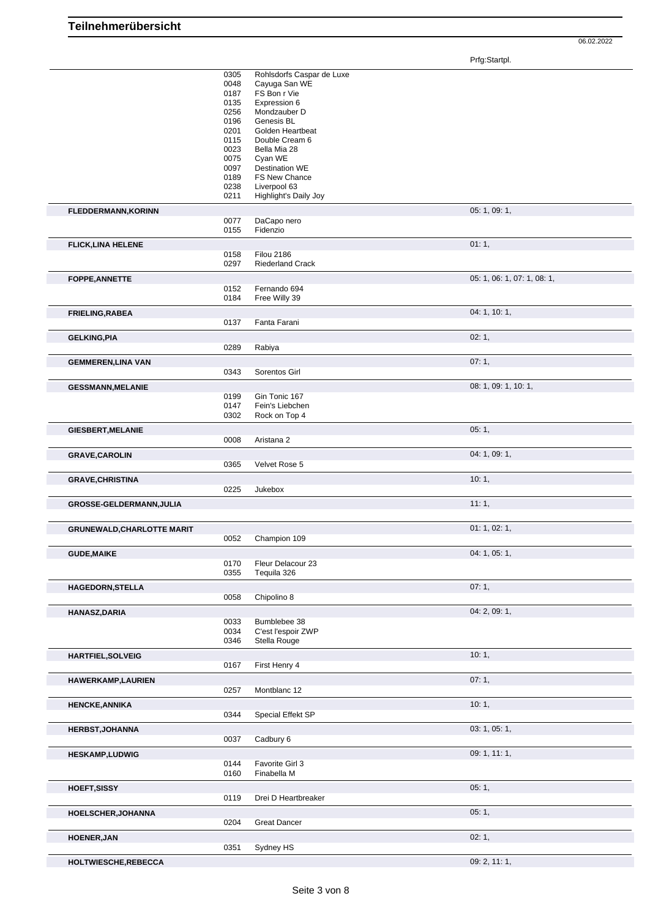06.02.2022

|                                   | 0305         | Rohlsdorfs Caspar de Luxe          |                             |
|-----------------------------------|--------------|------------------------------------|-----------------------------|
|                                   | 0048         | Cayuga San WE                      |                             |
|                                   | 0187         | FS Bon r Vie                       |                             |
|                                   | 0135<br>0256 | Expression 6<br>Mondzauber D       |                             |
|                                   | 0196         | Genesis BL                         |                             |
|                                   | 0201         | Golden Heartbeat                   |                             |
|                                   | 0115         | Double Cream 6                     |                             |
|                                   | 0023         | Bella Mia 28                       |                             |
|                                   | 0075         | Cyan WE                            |                             |
|                                   | 0097         | <b>Destination WE</b>              |                             |
|                                   | 0189<br>0238 | FS New Chance<br>Liverpool 63      |                             |
|                                   | 0211         | Highlight's Daily Joy              |                             |
| <b>FLEDDERMANN, KORINN</b>        |              |                                    | 05: 1, 09: 1,               |
|                                   | 0077         | DaCapo nero                        |                             |
|                                   | 0155         | Fidenzio                           |                             |
|                                   |              |                                    | 01:1,                       |
| <b>FLICK, LINA HELENE</b>         | 0158         | <b>Filou 2186</b>                  |                             |
|                                   | 0297         | <b>Riederland Crack</b>            |                             |
| <b>FOPPE, ANNETTE</b>             |              |                                    | 05: 1, 06: 1, 07: 1, 08: 1, |
|                                   | 0152         | Fernando 694                       |                             |
|                                   | 0184         | Free Willy 39                      |                             |
| <b>FRIELING, RABEA</b>            |              |                                    | 04: 1, 10: 1,               |
|                                   | 0137         | Fanta Farani                       |                             |
|                                   |              |                                    |                             |
| <b>GELKING, PIA</b>               |              |                                    | 02:1,                       |
|                                   | 0289         | Rabiya                             |                             |
| <b>GEMMEREN, LINA VAN</b>         |              |                                    | 07:1,                       |
|                                   | 0343         | Sorentos Girl                      |                             |
| <b>GESSMANN, MELANIE</b>          |              |                                    | 08: 1, 09: 1, 10: 1,        |
|                                   | 0199         | Gin Tonic 167                      |                             |
|                                   | 0147         | Fein's Liebchen                    |                             |
|                                   | 0302         | Rock on Top 4                      |                             |
| <b>GIESBERT, MELANIE</b>          |              |                                    | 05:1,                       |
|                                   | 0008         | Aristana 2                         |                             |
| <b>GRAVE, CAROLIN</b>             |              |                                    | 04: 1, 09: 1,               |
|                                   |              |                                    |                             |
|                                   | 0365         | Velvet Rose 5                      |                             |
|                                   |              |                                    |                             |
| <b>GRAVE, CHRISTINA</b>           | 0225         | Jukebox                            | 10:1,                       |
|                                   |              |                                    |                             |
| GROSSE-GELDERMANN, JULIA          |              |                                    | 11:1,                       |
|                                   |              |                                    |                             |
| <b>GRUNEWALD, CHARLOTTE MARIT</b> | 0052         | Champion 109                       | 01: 1, 02: 1,               |
|                                   |              |                                    |                             |
| <b>GUDE, MAIKE</b>                |              |                                    | 04: 1, 05: 1,               |
|                                   | 0170         | Fleur Delacour 23                  |                             |
|                                   | 0355         | Tequila 326                        |                             |
| <b>HAGEDORN, STELLA</b>           |              |                                    | 07:1,                       |
|                                   | 0058         | Chipolino 8                        |                             |
| <b>HANASZ, DARIA</b>              |              |                                    | 04: 2, 09: 1,               |
|                                   | 0033         | Bumblebee 38                       |                             |
|                                   | 0034<br>0346 | C'est l'espoir ZWP<br>Stella Rouge |                             |
|                                   |              |                                    |                             |
| <b>HARTFIEL, SOLVEIG</b>          |              |                                    | 10:1,                       |
|                                   | 0167         | First Henry 4                      |                             |
| <b>HAWERKAMP,LAURIEN</b>          |              |                                    | 07:1,                       |
|                                   | 0257         | Montblanc 12                       |                             |
| <b>HENCKE, ANNIKA</b>             |              |                                    | 10:1,                       |
|                                   | 0344         | Special Effekt SP                  |                             |
| <b>HERBST, JOHANNA</b>            |              |                                    | 03: 1, 05: 1,               |
|                                   | 0037         | Cadbury 6                          |                             |
| <b>HESKAMP,LUDWIG</b>             |              |                                    | 09: 1, 11: 1,               |
|                                   | 0144         | Favorite Girl 3                    |                             |
|                                   | 0160         | Finabella M                        |                             |
|                                   |              |                                    | 05:1,                       |
| HOEFT, SISSY                      | 0119         | Drei D Heartbreaker                |                             |
|                                   |              |                                    |                             |
| <b>HOELSCHER, JOHANNA</b>         |              |                                    | 05:1,                       |
|                                   | 0204         | <b>Great Dancer</b>                |                             |
| <b>HOENER, JAN</b>                |              |                                    | 02:1,                       |
| HOLTWIESCHE, REBECCA              | 0351         | Sydney HS                          | 09: 2, 11: 1,               |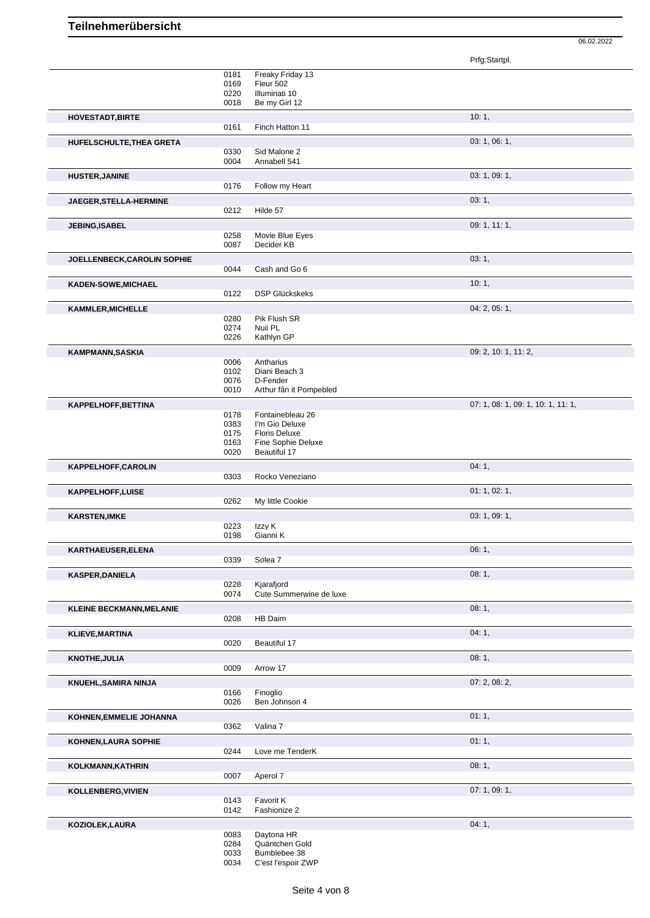Prfg:Startpl. 0181 Freaky Friday 13 0169 Fleur 502<br>0220 Illuminati 0220 Illuminati 10<br>0018 Be my Girl 1 Be my Girl 12 **HOVESTADT,BIRTE** 10: 1, 0161 Finch Hatton 11 **HUFELSCHULTE,THEA GRETA** 03: 1, 06: 1, 0330 Sid Malone 2<br>0004 Annabell 541 Annabell 541 **HUSTER,JANINE** 03: 1, 09: 1, 0176 Follow my Heart **JAEGER,STELLA-HERMINE** 03: 1, 0212 Hilde 57 **JEBING,ISABEL** 09: 1, 11: 1,<br>
0258 Movie Blue Eyes **COME 1, 19: 1, 11: 1**, 0258 Movie Blue Eyes<br>0087 Decider KB Decider KB **JOELLENBECK,CAROLIN SOPHIE DELLENBECK, CAROLIN SOPHIE** 0044 Cash and Go 6 **KADEN-SOWE, MICHAEL 10: 1, 20: 1, 20: 1, 20: 1, 20: 1, 20: 1, 20: 1, 20: 1, 20: 1, 20: 1, 20: 1, 20: 1, 20: 1, 20: 1, 20: 1, 20: 1, 20: 1, 20: 1, 20: 1, 20: 1, 20: 1, 20: 1, 20: 1, 20: 1, 20: 1, 20: 1, 20: 2, 2, 2, 2, 2,** 0122 DSP Glückskeks **KAMMLER,MICHELLE** 0280 Pik Flush SR<br>0280 Pik Flush SR 0280 Pik Flush SR<br>0274 Nuii PL 0274 Nuii PL<br>0226 Kathlyn Kathlyn GP **KAMPMANN,SASKIA** 09: 2, 10: 1, 11: 2, 0006 Antharius 0006 Antharius 09: 2, 10: 1, 11: 2, 0006 Antharius<br>0102 Diani Bea 0102 Diani Beach 3<br>0076 D-Fender D-Fender 0010 Arthur fân it Pompebled **KAPPELHOFF,BETTINA** 07: 1, 08: 1, 09: 1, 10: 1, 11: 1, 09: 1, 10: 1, 11: 1, 09: 1, 10: 1, 11: 1, 09: 1, 10: 1, 11: 1, Fontainebleau 26 0383 I'm Gio Deluxe 0175 Floris Deluxe 0163 Fine Sophie Deluxe<br>0020 Beautiful 17 Beautiful 17 **KAPPELHOFF,CAROLIN** 0303 Rocko Veneziano **1996** 1, 04: 1, Rocko Veneziano **KAPPELHOFF,LUISE** 0262 My little Cookie 01: 1, 02: 1, My little Cookie **KARSTEN,IMKE** 03: 1, 09: 1, 09: 1, 09: 1, 09: 1, 09: 1, 09: 1, 09: 1, 09: 1, 09: 1, 09: 1, 09: 1, 09: 1, 09: 1, 09: 1, 09: 1, 09: 1, 09: 1, 09: 1, 09: 1, 09: 1, 09: 1, 09: 1, 09: 1, 09: 1, 09: 1, 09: 1, 09: 1, 09: 1, 09: 0223 Izzy K<br>0198 Gianni Gianni K **KARTHAEUSER,ELENA** 06: 1, Solea 7 **KASPER,DANIELA** 08: 1, 0228 Kjarafjord<br>0074 Cute Sum Cute Summerwine de luxe **KLEINE BECKMANN, MELANIE** 0208 HB Daim HB Daim **KLIEVE, MARTINA** 04: 1, 0020 Beautiful 17 Beautiful 17 **KNOTHE, JULIA** 08: 1, 0009 Arrow 17 Arrow 17 **KNUEHL,SAMIRA NINJA** 07: 2, 08: 2, 0166 Finoglio 0026 Ben Johnson 4 **KOHNEN,EMMELIE JOHANNA** 01: 1, 00: 1, 00: 1, 00: 1, 00: 1, 00: 1, 00: 1, 00: 1, 00: 1, 00: 1, 00: 1, 00: 1, 00: 1, 00: 1, 00: 1, 00: 1, 00: 1, 00: 1, 00: 1, 00: 1, 00: 1, 00: 1, 00: 1, 00: 1, 00: 1, 00: 00: 1, 00: 00: 00: 0362 Valina 7 **KOHNEN,LAURA SOPHIE** 01: 1, 01: 1, 01: 1, 01: 1, 01: 1, 01: 1, 01: 1, 01: 1, 01: 1, 01: 1, 01: 1, 01: 1, 01: 1, 01: 1, 01: 1, 01: 1, 01: 1, 01: 1, 01: 1, 01: 1, 01: 1, 01: 1, 01: 1, 01: 1, 01: 1, 01: 01: 01: 01: 01: 01: 0 0244 Love me TenderK **KOLKMANN,KATHRIN** 08: 1, 0007 Aperol 7 **KOLLENBERG,VIVIEN** 07: 1, 09: 1, 0143 Favorit K 0142 Fashionize 2 **KOZIOLEK,LAURA** 04: 1,

06.02.2022

0083 Daytona HR<br>0284 Quäntchen Q

0284 Quäntchen Gold<br>0033 Bumblebee 38

0033 Bumblebee 38<br>0034 C'est l'espoir Z' C'est l'espoir ZWP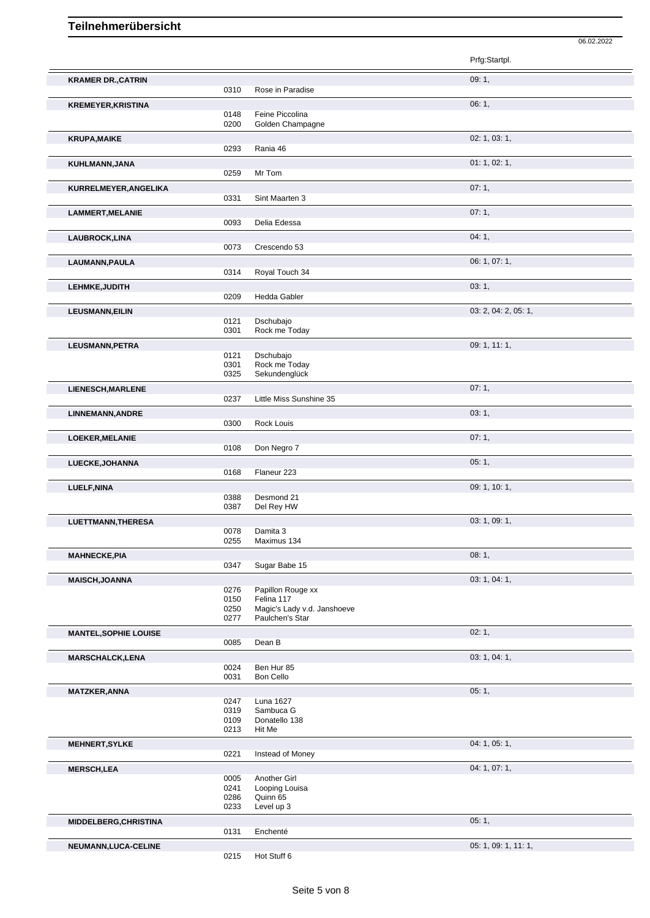|                              |              |                                 | 06.02.2022           |
|------------------------------|--------------|---------------------------------|----------------------|
|                              |              |                                 | Prfg:Startpl.        |
| <b>KRAMER DR., CATRIN</b>    | 0310         | Rose in Paradise                | 09:1,                |
| <b>KREMEYER, KRISTINA</b>    |              |                                 | 06:1,                |
|                              | 0148         | Feine Piccolina                 |                      |
|                              | 0200         | Golden Champagne                |                      |
| <b>KRUPA, MAIKE</b>          | 0293         | Rania 46                        | 02: 1, 03: 1,        |
| KUHLMANN, JANA               |              |                                 | 01: 1, 02: 1,        |
|                              | 0259         | Mr Tom                          |                      |
| KURRELMEYER, ANGELIKA        | 0331         | Sint Maarten 3                  | 07:1,                |
| <b>LAMMERT, MELANIE</b>      |              |                                 | 07:1,                |
|                              | 0093         | Delia Edessa                    |                      |
| LAUBROCK, LINA               | 0073         | Crescendo 53                    | 04:1,                |
| LAUMANN, PAULA               |              |                                 | 06: 1, 07: 1,        |
|                              | 0314         | Royal Touch 34                  |                      |
| LEHMKE, JUDITH               | 0209         | Hedda Gabler                    | 03:1,                |
| <b>LEUSMANN, EILIN</b>       |              |                                 | 03: 2, 04: 2, 05: 1, |
|                              | 0121         | Dschubajo<br>Rock me Today      |                      |
| LEUSMANN, PETRA              | 0301         |                                 | 09: 1, 11: 1,        |
|                              | 0121         | Dschubajo                       |                      |
|                              | 0301<br>0325 | Rock me Today<br>Sekundenglück  |                      |
| <b>LIENESCH, MARLENE</b>     |              |                                 | 07:1,                |
|                              | 0237         | Little Miss Sunshine 35         |                      |
| LINNEMANN, ANDRE             | 0300         | Rock Louis                      | 03:1,                |
| LOEKER, MELANIE              |              |                                 | 07:1,                |
|                              | 0108         | Don Negro 7                     |                      |
| LUECKE, JOHANNA              |              |                                 | 05:1,                |
| LUELF, NINA                  | 0168         | Flaneur 223                     | 09: 1, 10: 1,        |
|                              | 0388         | Desmond 21                      |                      |
|                              | 0387         | Del Rey HW                      |                      |
| <b>LUETTMANN, THERESA</b>    | 0078         | Damita 3                        | 03: 1, 09: 1,        |
|                              | 0255         | Maximus 134                     |                      |
| <b>MAHNECKE, PIA</b>         | 0347         | Sugar Babe 15                   | 08:1,                |
| <b>MAISCH, JOANNA</b>        |              |                                 | 03: 1, 04: 1,        |
|                              | 0276<br>0150 | Papillon Rouge xx<br>Felina 117 |                      |
|                              | 0250         | Magic's Lady v.d. Janshoeve     |                      |
|                              | 0277         | Paulchen's Star                 |                      |
| <b>MANTEL, SOPHIE LOUISE</b> | 0085         | Dean B                          | 02:1,                |
| <b>MARSCHALCK,LENA</b>       |              |                                 | 03: 1, 04: 1,        |
|                              | 0024<br>0031 | Ben Hur 85<br>Bon Cello         |                      |
| <b>MATZKER, ANNA</b>         |              |                                 | 05:1,                |
|                              | 0247<br>0319 | Luna 1627<br>Sambuca G          |                      |
|                              | 0109         | Donatello 138                   |                      |
|                              | 0213         | Hit Me                          | 04: 1, 05: 1,        |
| <b>MEHNERT, SYLKE</b>        | 0221         | Instead of Money                |                      |
| <b>MERSCH,LEA</b>            |              |                                 | 04: 1, 07: 1,        |
|                              | 0005<br>0241 | Another Girl<br>Looping Louisa  |                      |
|                              | 0286<br>0233 | Quinn 65<br>Level up 3          |                      |
| MIDDELBERG, CHRISTINA        |              |                                 | 05:1,                |
|                              | 0131         | Enchenté                        |                      |
| NEUMANN, LUCA-CELINE         | 0215         | Hot Stuff 6                     | 05: 1, 09: 1, 11: 1, |
|                              |              |                                 |                      |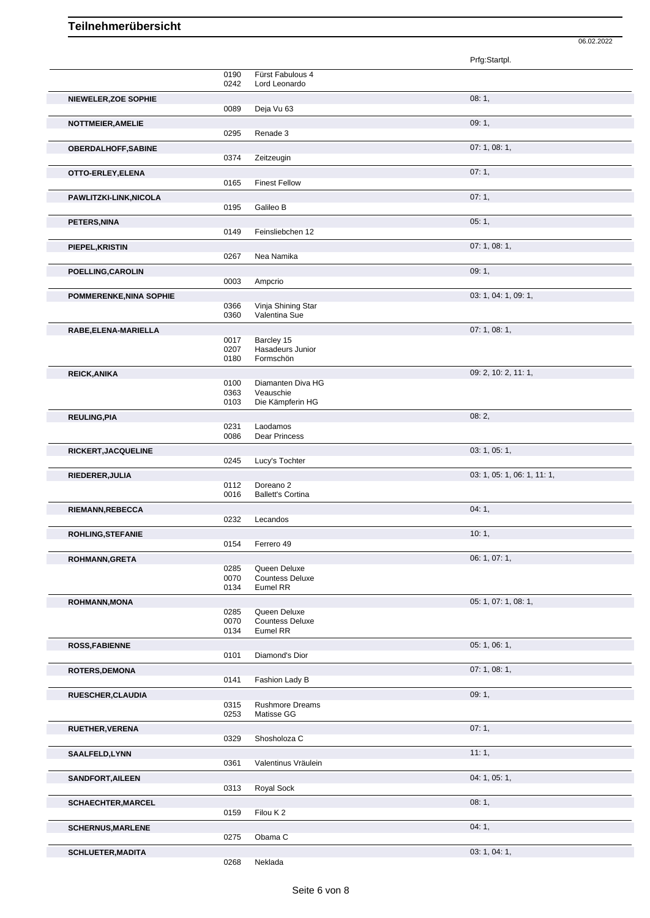|                                |                      |                                             | Prfg:Startpl.               |
|--------------------------------|----------------------|---------------------------------------------|-----------------------------|
|                                | 0190<br>0242         | Fürst Fabulous 4<br>Lord Leonardo           |                             |
| NIEWELER, ZOE SOPHIE           | 0089                 | Deja Vu 63                                  | 08:1,                       |
| NOTTMEIER, AMELIE              | 0295                 | Renade 3                                    | 09:1,                       |
| <b>OBERDALHOFF, SABINE</b>     | 0374                 | Zeitzeugin                                  | 07: 1, 08: 1,               |
|                                |                      |                                             | 07:1,                       |
| OTTO-ERLEY, ELENA              | 0165                 | <b>Finest Fellow</b>                        |                             |
| PAWLITZKI-LINK, NICOLA         | 0195                 | Galileo B                                   | 07:1,                       |
| PETERS, NINA                   | 0149                 | Feinsliebchen 12                            | 05:1,                       |
|                                |                      |                                             | 07:1,08:1,                  |
| PIEPEL, KRISTIN                | 0267                 | Nea Namika                                  |                             |
| POELLING, CAROLIN              |                      |                                             | 09:1,                       |
|                                | 0003                 | Ampcrio                                     |                             |
| <b>POMMERENKE, NINA SOPHIE</b> |                      |                                             | 03: 1, 04: 1, 09: 1,        |
|                                | 0366<br>0360         | Vinja Shining Star<br>Valentina Sue         |                             |
| RABE, ELENA-MARIELLA           |                      |                                             | 07:1,08:1,                  |
|                                | 0017<br>0207<br>0180 | Barcley 15<br>Hasadeurs Junior<br>Formschön |                             |
| <b>REICK, ANIKA</b>            |                      |                                             | 09: 2, 10: 2, 11: 1,        |
|                                | 0100<br>0363         | Diamanten Diva HG<br>Veauschie              |                             |
|                                | 0103                 | Die Kämpferin HG                            |                             |
| <b>REULING, PIA</b>            |                      |                                             | 08:2,                       |
|                                | 0231<br>0086         | Laodamos<br>Dear Princess                   |                             |
| RICKERT, JACQUELINE            |                      |                                             | 03: 1, 05: 1,               |
|                                |                      |                                             |                             |
|                                | 0245                 | Lucy's Tochter                              |                             |
| RIEDERER, JULIA                |                      |                                             | 03: 1, 05: 1, 06: 1, 11: 1, |
|                                | 0112                 | Doreano <sub>2</sub>                        |                             |
|                                | 0016                 | <b>Ballett's Cortina</b>                    |                             |
| RIEMANN, REBECCA               | 0232                 | Lecandos                                    | 04:1,                       |
|                                |                      |                                             | 10:1,                       |
| ROHLING, STEFANIE              | 0154                 | Ferrero 49                                  |                             |
| <b>ROHMANN, GRETA</b>          |                      |                                             | 06: 1, 07: 1,               |
|                                | 0285<br>0070         | Queen Deluxe<br><b>Countess Deluxe</b>      |                             |
|                                | 0134                 | Eumel RR                                    |                             |
| <b>ROHMANN, MONA</b>           | 0285                 | Queen Deluxe                                | 05: 1, 07: 1, 08: 1,        |
|                                | 0070                 | <b>Countess Deluxe</b>                      |                             |
|                                | 0134                 | Eumel RR                                    |                             |
| <b>ROSS, FABIENNE</b>          |                      |                                             | 05:1,06:1,                  |
|                                | 0101                 | Diamond's Dior                              |                             |
| <b>ROTERS, DEMONA</b>          | 0141                 | Fashion Lady B                              | 07:1,08:1,                  |
| RUESCHER, CLAUDIA              |                      |                                             | 09:1,                       |
|                                | 0315                 | <b>Rushmore Dreams</b>                      |                             |
|                                | 0253                 | Matisse GG                                  |                             |
| RUETHER, VERENA                |                      |                                             | 07:1,                       |
|                                | 0329                 | Shosholoza C                                |                             |
| <b>SAALFELD,LYNN</b>           | 0361                 | Valentinus Vräulein                         | 11:1,                       |
| <b>SANDFORT, AILEEN</b>        |                      |                                             | 04: 1, 05: 1,               |
|                                | 0313                 | Royal Sock                                  |                             |
| <b>SCHAECHTER, MARCEL</b>      | 0159                 | Filou K 2                                   | 08:1,                       |
|                                |                      |                                             | 04:1,                       |
| <b>SCHERNUS, MARLENE</b>       | 0275                 | Obama C                                     |                             |

06.02.2022

0268 Neklada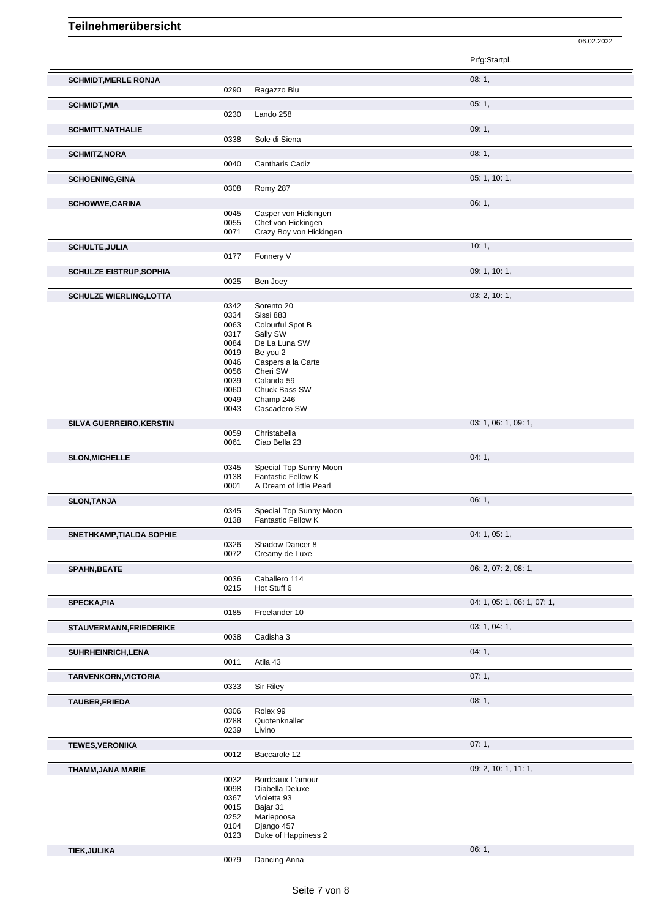06.02.2022

|                                 |              |                                                     | Prfg:Startpl.               |
|---------------------------------|--------------|-----------------------------------------------------|-----------------------------|
| <b>SCHMIDT, MERLE RONJA</b>     | 0290         | Ragazzo Blu                                         | 08:1,                       |
| <b>SCHMIDT, MIA</b>             |              |                                                     | 05:1,                       |
|                                 | 0230         | Lando 258                                           |                             |
| <b>SCHMITT, NATHALIE</b>        |              |                                                     | 09:1,                       |
|                                 | 0338         | Sole di Siena                                       |                             |
| <b>SCHMITZ, NORA</b>            | 0040         | Cantharis Cadiz                                     | 08:1,                       |
| <b>SCHOENING, GINA</b>          |              |                                                     | 05: 1, 10: 1,               |
|                                 | 0308         | Romy 287                                            |                             |
| <b>SCHOWWE,CARINA</b>           |              |                                                     | 06:1,                       |
|                                 | 0045         | Casper von Hickingen                                |                             |
|                                 | 0055<br>0071 | Chef von Hickingen<br>Crazy Boy von Hickingen       |                             |
| <b>SCHULTE, JULIA</b>           |              |                                                     | 10:1,                       |
|                                 | 0177         | Fonnery V                                           |                             |
| <b>SCHULZE EISTRUP, SOPHIA</b>  |              |                                                     | 09: 1, 10: 1,               |
|                                 | 0025         | Ben Joey                                            |                             |
| <b>SCHULZE WIERLING, LOTTA</b>  | 0342         | Sorento 20                                          | 03: 2, 10: 1,               |
|                                 | 0334         | Sissi 883                                           |                             |
|                                 | 0063<br>0317 | Colourful Spot B<br>Sally SW                        |                             |
|                                 | 0084         | De La Luna SW                                       |                             |
|                                 | 0019<br>0046 | Be you 2<br>Caspers a la Carte                      |                             |
|                                 | 0056         | Cheri SW                                            |                             |
|                                 | 0039<br>0060 | Calanda 59<br>Chuck Bass SW                         |                             |
|                                 | 0049         | Champ 246                                           |                             |
|                                 | 0043         | Cascadero SW                                        |                             |
| SILVA GUERREIRO, KERSTIN        | 0059         | Christabella                                        | 03: 1, 06: 1, 09: 1,        |
|                                 | 0061         | Ciao Bella 23                                       |                             |
| <b>SLON, MICHELLE</b>           |              |                                                     | 04:1,                       |
|                                 | 0345<br>0138 | Special Top Sunny Moon<br><b>Fantastic Fellow K</b> |                             |
|                                 | 0001         | A Dream of little Pearl                             |                             |
| <b>SLON, TANJA</b>              | 0345         | Special Top Sunny Moon                              | 06:1,                       |
|                                 | 0138         | Fantastic Fellow K                                  |                             |
| <b>SNETHKAMP, TIALDA SOPHIE</b> |              |                                                     | 04: 1, 05: 1,               |
|                                 | 0326<br>0072 | Shadow Dancer 8<br>Creamy de Luxe                   |                             |
| <b>SPAHN, BEATE</b>             |              |                                                     | 06: 2, 07: 2, 08: 1,        |
|                                 | 0036         | Caballero 114                                       |                             |
|                                 | 0215         | Hot Stuff 6                                         |                             |
| <b>SPECKA, PIA</b>              | 0185         | Freelander 10                                       | 04: 1, 05: 1, 06: 1, 07: 1, |
| STAUVERMANN, FRIEDERIKE         |              |                                                     | 03: 1, 04: 1,               |
|                                 | 0038         | Cadisha 3                                           |                             |
| SUHRHEINRICH, LENA              |              |                                                     | 04:1,                       |
|                                 | 0011         | Atila 43                                            |                             |
| TARVENKORN, VICTORIA            |              |                                                     | 07:1,                       |
|                                 | 0333         | Sir Riley                                           |                             |
| <b>TAUBER, FRIEDA</b>           | 0306         | Rolex 99                                            | 08:1,                       |
|                                 | 0288         | Quotenknaller                                       |                             |
|                                 | 0239         | Livino                                              |                             |
| <b>TEWES, VERONIKA</b>          | 0012         | Baccarole 12                                        | 07:1,                       |
| <b>THAMM, JANA MARIE</b>        |              |                                                     | 09: 2, 10: 1, 11: 1,        |
|                                 | 0032         | Bordeaux L'amour                                    |                             |
|                                 | 0098<br>0367 | Diabella Deluxe<br>Violetta 93                      |                             |
|                                 | 0015         | Bajar 31                                            |                             |
|                                 | 0252<br>0104 | Mariepoosa<br>Django 457                            |                             |
|                                 | 0123         | Duke of Happiness 2                                 |                             |
| <b>TIEK, JULIKA</b>             |              |                                                     | 06:1,                       |

Dancing Anna